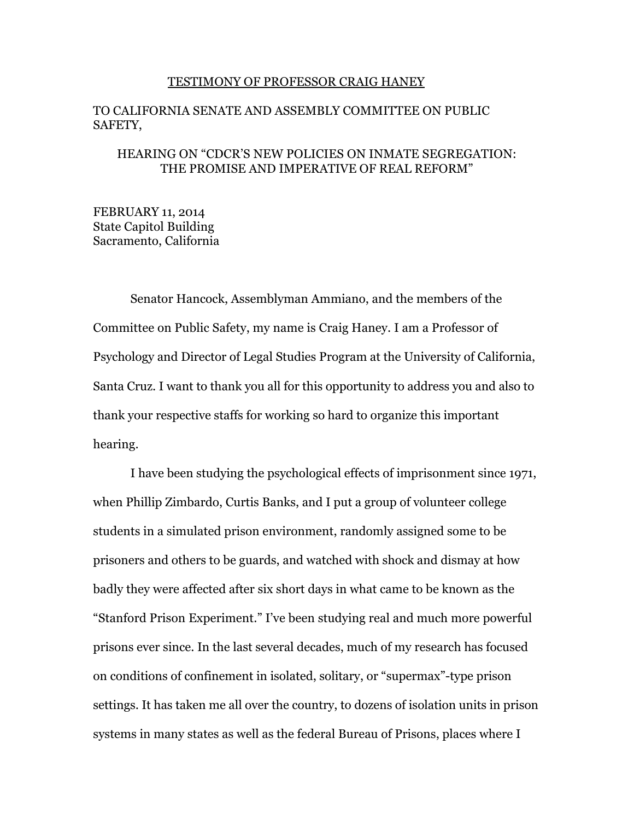#### TESTIMONY OF PROFESSOR CRAIG HANEY

### TO CALIFORNIA SENATE AND ASSEMBLY COMMITTEE ON PUBLIC SAFETY,

### HEARING ON "CDCR'S NEW POLICIES ON INMATE SEGREGATION: THE PROMISE AND IMPERATIVE OF REAL REFORM"

FEBRUARY 11, 2014 State Capitol Building Sacramento, California

Senator Hancock, Assemblyman Ammiano, and the members of the Committee on Public Safety, my name is Craig Haney. I am a Professor of Psychology and Director of Legal Studies Program at the University of California, Santa Cruz. I want to thank you all for this opportunity to address you and also to thank your respective staffs for working so hard to organize this important hearing.

I have been studying the psychological effects of imprisonment since 1971, when Phillip Zimbardo, Curtis Banks, and I put a group of volunteer college students in a simulated prison environment, randomly assigned some to be prisoners and others to be guards, and watched with shock and dismay at how badly they were affected after six short days in what came to be known as the "Stanford Prison Experiment." I've been studying real and much more powerful prisons ever since. In the last several decades, much of my research has focused on conditions of confinement in isolated, solitary, or "supermax"-type prison settings. It has taken me all over the country, to dozens of isolation units in prison systems in many states as well as the federal Bureau of Prisons, places where I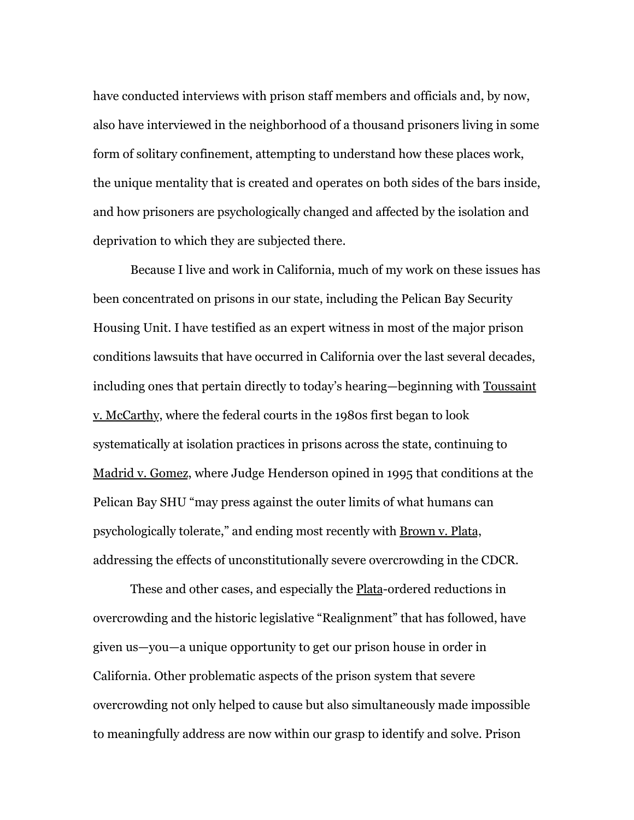have conducted interviews with prison staff members and officials and, by now, also have interviewed in the neighborhood of a thousand prisoners living in some form of solitary confinement, attempting to understand how these places work, the unique mentality that is created and operates on both sides of the bars inside, and how prisoners are psychologically changed and affected by the isolation and deprivation to which they are subjected there.

Because I live and work in California, much of my work on these issues has been concentrated on prisons in our state, including the Pelican Bay Security Housing Unit. I have testified as an expert witness in most of the major prison conditions lawsuits that have occurred in California over the last several decades, including ones that pertain directly to today's hearing—beginning with Toussaint <u>v. McCarthy</u>, where the federal courts in the 1980s first began to look systematically at isolation practices in prisons across the state, continuing to Madrid v. Gomez, where Judge Henderson opined in 1995 that conditions at the Pelican Bay SHU "may press against the outer limits of what humans can psychologically tolerate," and ending most recently with Brown v. Plata, addressing the effects of unconstitutionally severe overcrowding in the CDCR.

These and other cases, and especially the Plata-ordered reductions in overcrowding and the historic legislative "Realignment" that has followed, have given us—you—a unique opportunity to get our prison house in order in California. Other problematic aspects of the prison system that severe overcrowding not only helped to cause but also simultaneously made impossible to meaningfully address are now within our grasp to identify and solve. Prison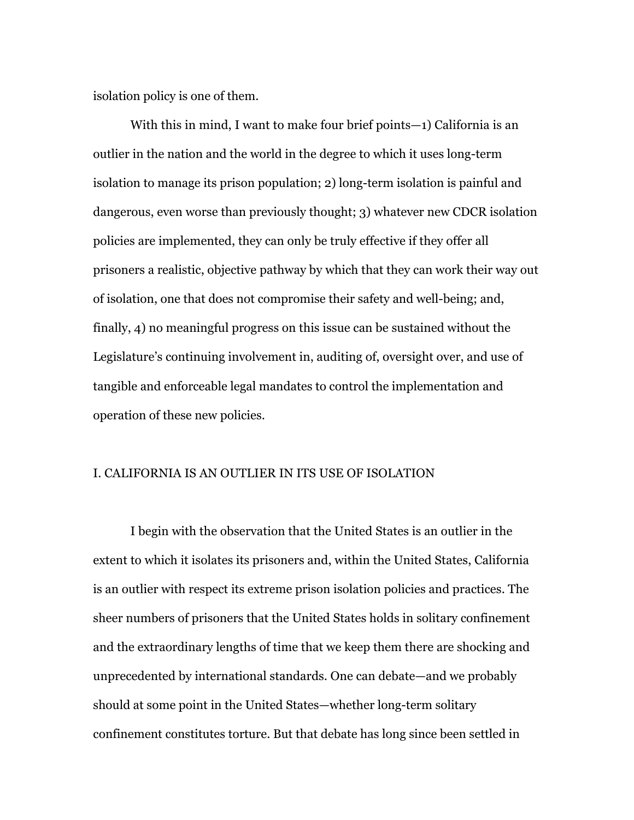isolation policy is one of them.

With this in mind, I want to make four brief points—1) California is an outlier in the nation and the world in the degree to which it uses long-term isolation to manage its prison population; 2) long-term isolation is painful and dangerous, even worse than previously thought; 3) whatever new CDCR isolation policies are implemented, they can only be truly effective if they offer all prisoners a realistic, objective pathway by which that they can work their way out of isolation, one that does not compromise their safety and well-being; and, finally, 4) no meaningful progress on this issue can be sustained without the Legislature's continuing involvement in, auditing of, oversight over, and use of tangible and enforceable legal mandates to control the implementation and operation of these new policies.

### I. CALIFORNIA IS AN OUTLIER IN ITS USE OF ISOLATION

I begin with the observation that the United States is an outlier in the extent to which it isolates its prisoners and, within the United States, California is an outlier with respect its extreme prison isolation policies and practices. The sheer numbers of prisoners that the United States holds in solitary confinement and the extraordinary lengths of time that we keep them there are shocking and unprecedented by international standards. One can debate—and we probably should at some point in the United States—whether long-term solitary confinement constitutes torture. But that debate has long since been settled in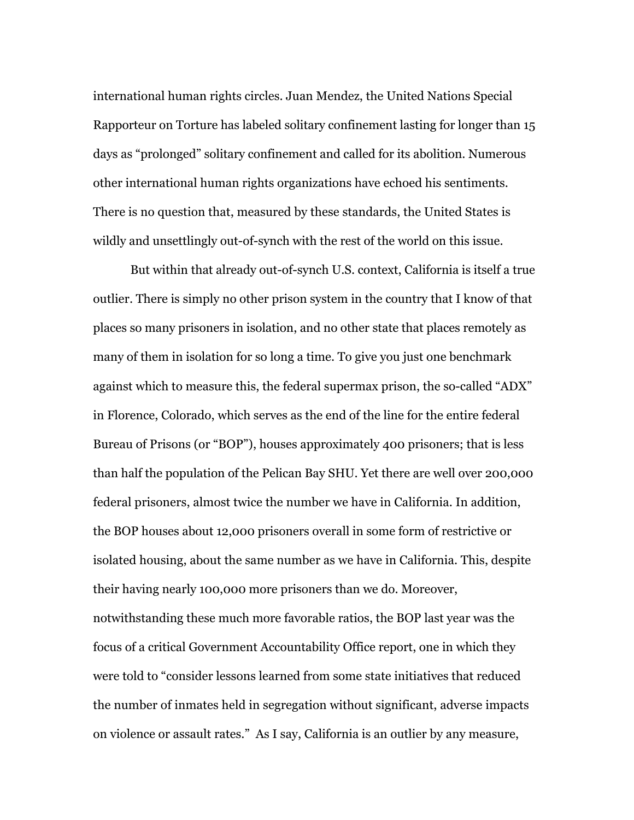international human rights circles. Juan Mendez, the United Nations Special Rapporteur on Torture has labeled solitary confinement lasting for longer than 15 days as "prolonged" solitary confinement and called for its abolition. Numerous other international human rights organizations have echoed his sentiments. There is no question that, measured by these standards, the United States is wildly and unsettlingly out-of-synch with the rest of the world on this issue.

But within that already out-of-synch U.S. context, California is itself a true outlier. There is simply no other prison system in the country that I know of that places so many prisoners in isolation, and no other state that places remotely as many of them in isolation for so long a time. To give you just one benchmark against which to measure this, the federal supermax prison, the so-called "ADX" in Florence, Colorado, which serves as the end of the line for the entire federal Bureau of Prisons (or "BOP"), houses approximately 400 prisoners; that is less than half the population of the Pelican Bay SHU. Yet there are well over 200,000 federal prisoners, almost twice the number we have in California. In addition, the BOP houses about 12,000 prisoners overall in some form of restrictive or isolated housing, about the same number as we have in California. This, despite their having nearly 100,000 more prisoners than we do. Moreover, notwithstanding these much more favorable ratios, the BOP last year was the focus of a critical Government Accountability Office report, one in which they were told to "consider lessons learned from some state initiatives that reduced the number of inmates held in segregation without significant, adverse impacts on violence or assault rates." As I say, California is an outlier by any measure,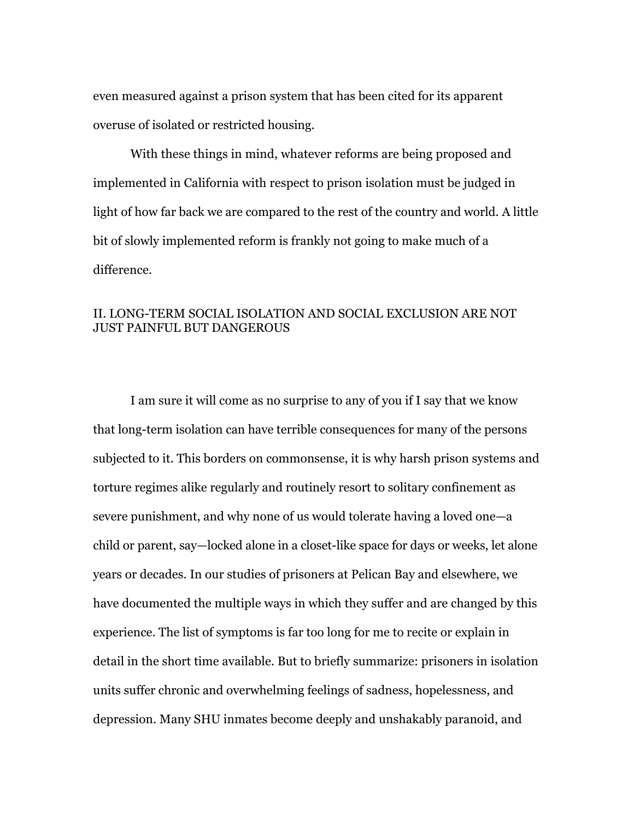even measured against a prison system that has been cited for its apparent overuse of isolated or restricted housing.

With these things in mind, whatever reforms are being proposed and implemented in California with respect to prison isolation must be judged in light of how far back we are compared to the rest of the country and world. A little bit of slowly implemented reform is frankly not going to make much of a difference.

# II. LONG-TERM SOCIAL ISOLATION AND SOCIAL EXCLUSION ARE NOT JUST PAINFUL BUT DANGEROUS

I am sure it will come as no surprise to any of you if I say that we know that long-term isolation can have terrible consequences for many of the persons subjected to it. This borders on commonsense, it is why harsh prison systems and torture regimes alike regularly and routinely resort to solitary confinement as severe punishment, and why none of us would tolerate having a loved one—a child or parent, say—locked alone in a closet-like space for days or weeks, let alone years or decades. In our studies of prisoners at Pelican Bay and elsewhere, we have documented the multiple ways in which they suffer and are changed by this experience. The list of symptoms is far too long for me to recite or explain in detail in the short time available. But to briefly summarize: prisoners in isolation units suffer chronic and overwhelming feelings of sadness, hopelessness, and depression. Many SHU inmates become deeply and unshakably paranoid, and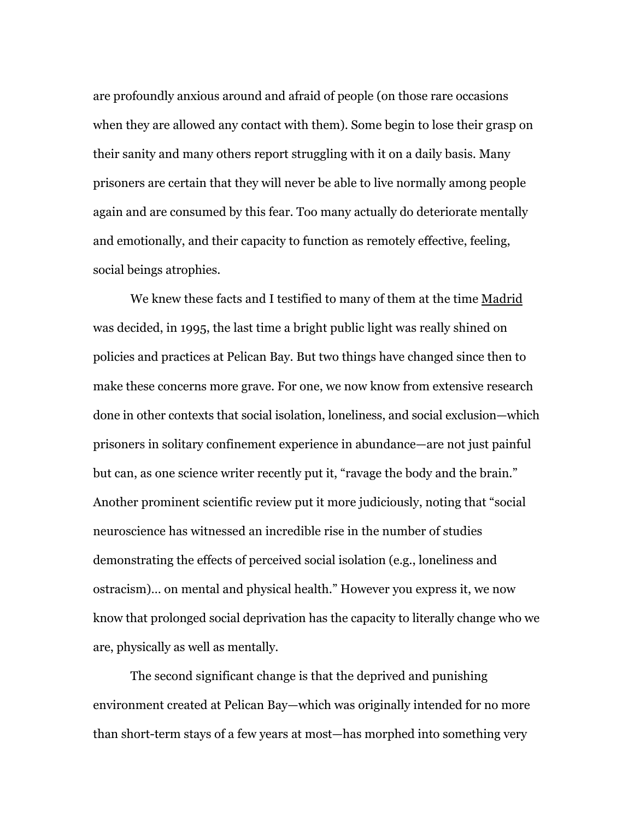are profoundly anxious around and afraid of people (on those rare occasions when they are allowed any contact with them). Some begin to lose their grasp on their sanity and many others report struggling with it on a daily basis. Many prisoners are certain that they will never be able to live normally among people again and are consumed by this fear. Too many actually do deteriorate mentally and emotionally, and their capacity to function as remotely effective, feeling, social beings atrophies.

We knew these facts and I testified to many of them at the time Madrid was decided, in 1995, the last time a bright public light was really shined on policies and practices at Pelican Bay. But two things have changed since then to make these concerns more grave. For one, we now know from extensive research done in other contexts that social isolation, loneliness, and social exclusion—which prisoners in solitary confinement experience in abundance—are not just painful but can, as one science writer recently put it, "ravage the body and the brain." Another prominent scientific review put it more judiciously, noting that "social neuroscience has witnessed an incredible rise in the number of studies demonstrating the effects of perceived social isolation (e.g., loneliness and ostracism)… on mental and physical health." However you express it, we now know that prolonged social deprivation has the capacity to literally change who we are, physically as well as mentally.

The second significant change is that the deprived and punishing environment created at Pelican Bay—which was originally intended for no more than short-term stays of a few years at most—has morphed into something very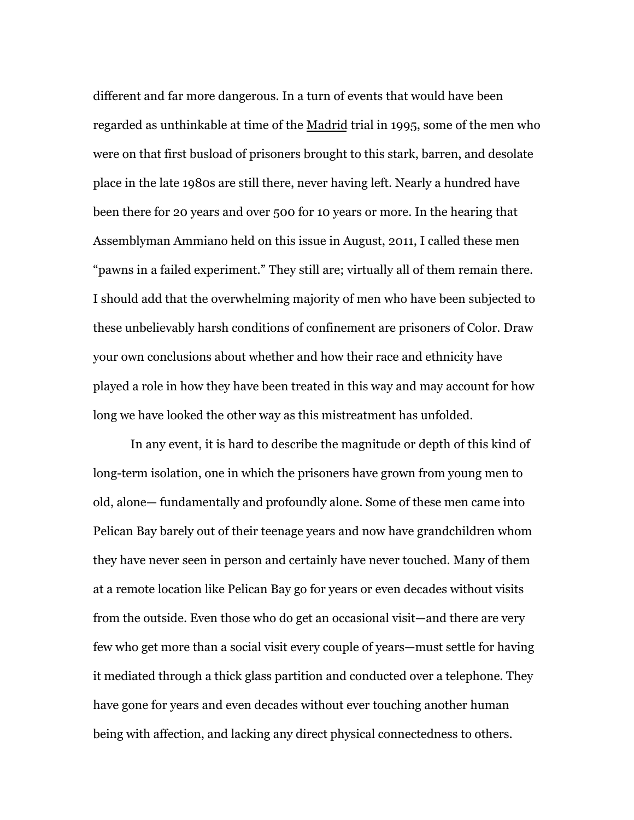different and far more dangerous. In a turn of events that would have been regarded as unthinkable at time of the Madrid trial in 1995, some of the men who were on that first busload of prisoners brought to this stark, barren, and desolate place in the late 1980s are still there, never having left. Nearly a hundred have been there for 20 years and over 500 for 10 years or more. In the hearing that Assemblyman Ammiano held on this issue in August, 2011, I called these men "pawns in a failed experiment." They still are; virtually all of them remain there. I should add that the overwhelming majority of men who have been subjected to these unbelievably harsh conditions of confinement are prisoners of Color. Draw your own conclusions about whether and how their race and ethnicity have played a role in how they have been treated in this way and may account for how long we have looked the other way as this mistreatment has unfolded.

In any event, it is hard to describe the magnitude or depth of this kind of long-term isolation, one in which the prisoners have grown from young men to old, alone— fundamentally and profoundly alone. Some of these men came into Pelican Bay barely out of their teenage years and now have grandchildren whom they have never seen in person and certainly have never touched. Many of them at a remote location like Pelican Bay go for years or even decades without visits from the outside. Even those who do get an occasional visit—and there are very few who get more than a social visit every couple of years—must settle for having it mediated through a thick glass partition and conducted over a telephone. They have gone for years and even decades without ever touching another human being with affection, and lacking any direct physical connectedness to others.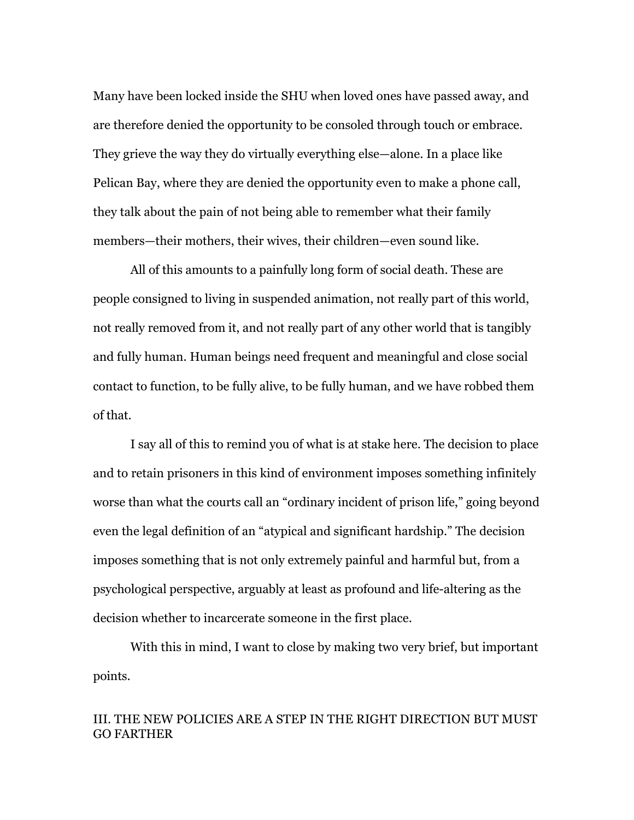Many have been locked inside the SHU when loved ones have passed away, and are therefore denied the opportunity to be consoled through touch or embrace. They grieve the way they do virtually everything else—alone. In a place like Pelican Bay, where they are denied the opportunity even to make a phone call, they talk about the pain of not being able to remember what their family members—their mothers, their wives, their children—even sound like.

All of this amounts to a painfully long form of social death. These are people consigned to living in suspended animation, not really part of this world, not really removed from it, and not really part of any other world that is tangibly and fully human. Human beings need frequent and meaningful and close social contact to function, to be fully alive, to be fully human, and we have robbed them of that.

I say all of this to remind you of what is at stake here. The decision to place and to retain prisoners in this kind of environment imposes something infinitely worse than what the courts call an "ordinary incident of prison life," going beyond even the legal definition of an "atypical and significant hardship." The decision imposes something that is not only extremely painful and harmful but, from a psychological perspective, arguably at least as profound and life-altering as the decision whether to incarcerate someone in the first place.

With this in mind, I want to close by making two very brief, but important points.

# III. THE NEW POLICIES ARE A STEP IN THE RIGHT DIRECTION BUT MUST GO FARTHER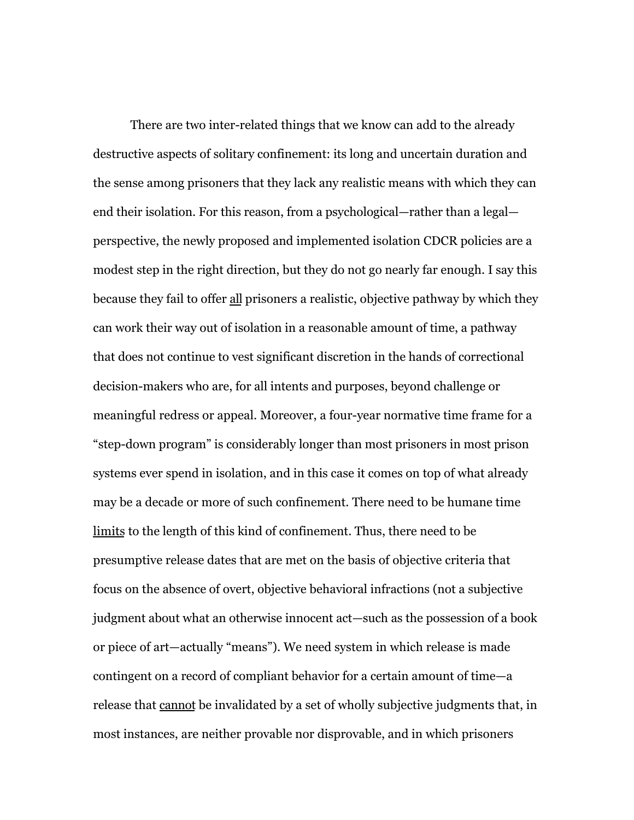There are two inter-related things that we know can add to the already destructive aspects of solitary confinement: its long and uncertain duration and the sense among prisoners that they lack any realistic means with which they can end their isolation. For this reason, from a psychological—rather than a legal perspective, the newly proposed and implemented isolation CDCR policies are a modest step in the right direction, but they do not go nearly far enough. I say this because they fail to offer all prisoners a realistic, objective pathway by which they can work their way out of isolation in a reasonable amount of time, a pathway that does not continue to vest significant discretion in the hands of correctional decision-makers who are, for all intents and purposes, beyond challenge or meaningful redress or appeal. Moreover, a four-year normative time frame for a "step-down program" is considerably longer than most prisoners in most prison systems ever spend in isolation, and in this case it comes on top of what already may be a decade or more of such confinement. There need to be humane time limits to the length of this kind of confinement. Thus, there need to be presumptive release dates that are met on the basis of objective criteria that focus on the absence of overt, objective behavioral infractions (not a subjective judgment about what an otherwise innocent act—such as the possession of a book or piece of art—actually "means"). We need system in which release is made contingent on a record of compliant behavior for a certain amount of time—a release that cannot be invalidated by a set of wholly subjective judgments that, in most instances, are neither provable nor disprovable, and in which prisoners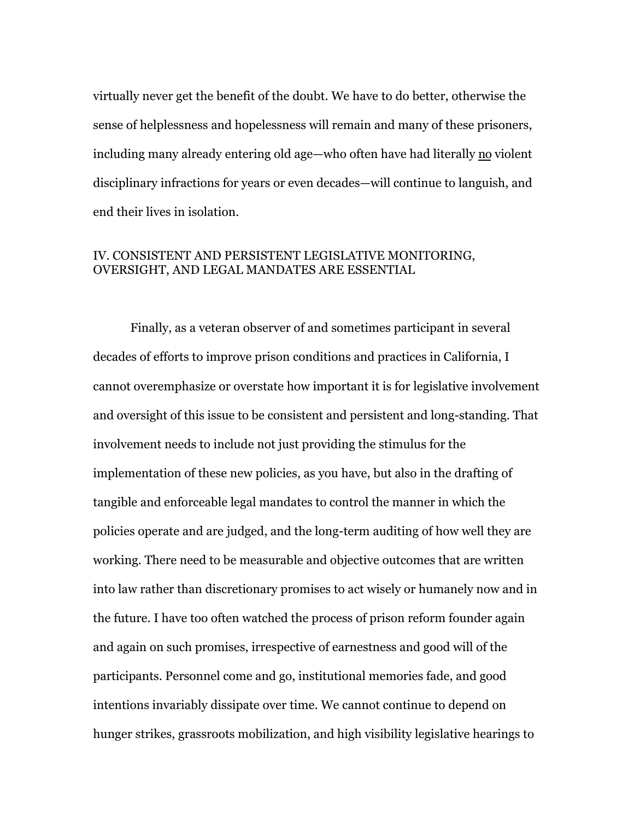virtually never get the benefit of the doubt. We have to do better, otherwise the sense of helplessness and hopelessness will remain and many of these prisoners, including many already entering old age—who often have had literally no violent disciplinary infractions for years or even decades—will continue to languish, and end their lives in isolation.

# IV. CONSISTENT AND PERSISTENT LEGISLATIVE MONITORING, OVERSIGHT, AND LEGAL MANDATES ARE ESSENTIAL

Finally, as a veteran observer of and sometimes participant in several decades of efforts to improve prison conditions and practices in California, I cannot overemphasize or overstate how important it is for legislative involvement and oversight of this issue to be consistent and persistent and long-standing. That involvement needs to include not just providing the stimulus for the implementation of these new policies, as you have, but also in the drafting of tangible and enforceable legal mandates to control the manner in which the policies operate and are judged, and the long-term auditing of how well they are working. There need to be measurable and objective outcomes that are written into law rather than discretionary promises to act wisely or humanely now and in the future. I have too often watched the process of prison reform founder again and again on such promises, irrespective of earnestness and good will of the participants. Personnel come and go, institutional memories fade, and good intentions invariably dissipate over time. We cannot continue to depend on hunger strikes, grassroots mobilization, and high visibility legislative hearings to